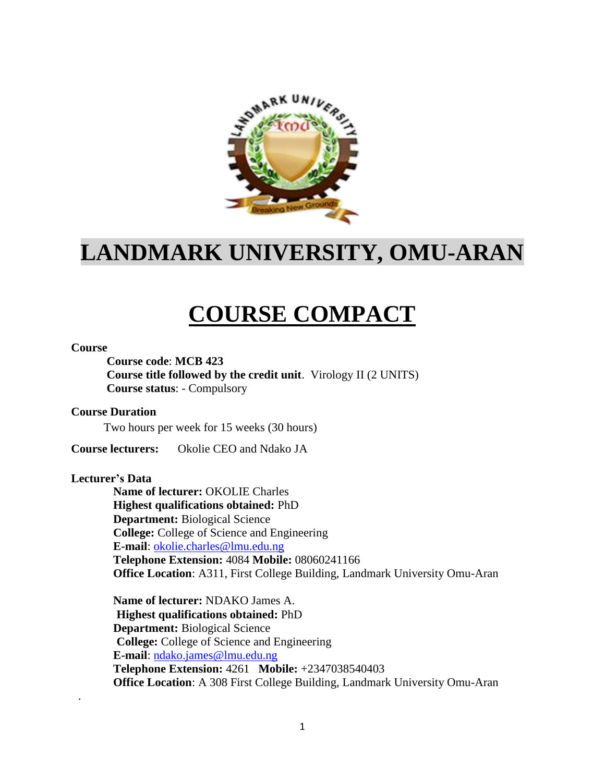

## **LANDMARK UNIVERSITY, OMU-ARAN**

# **COURSE COMPACT**

#### **Course**

**Course code**: **MCB 423**

**Course title followed by the credit unit**. Virology II (2 UNITS) **Course status**: - Compulsory

#### **Course Duration**

Two hours per week for 15 weeks (30 hours)

**Course lecturers:** Okolie CEO and Ndako JA

#### **Lecturer's Data**

.

**Name of lecturer:** OKOLIE Charles **Highest qualifications obtained:** PhD **Department:** Biological Science **College:** College of Science and Engineering **E-mail**: [okolie.charles@lmu.edu.ng](mailto:okolie.charles@lmu.edu.ng)  **Telephone Extension:** 4084 **Mobile:** 08060241166 **Office Location**: A311, First College Building, Landmark University Omu-Aran

**Name of lecturer:** NDAKO James A.  **Highest qualifications obtained:** PhD **Department:** Biological Science  **College:** College of Science and Engineering **E-mail**: [ndako.james@lmu.edu.ng](mailto:ndako.james@lmu.edu.ng) **Telephone Extension:** 4261 **Mobile:** +2347038540403 **Office Location**: A 308 First College Building, Landmark University Omu-Aran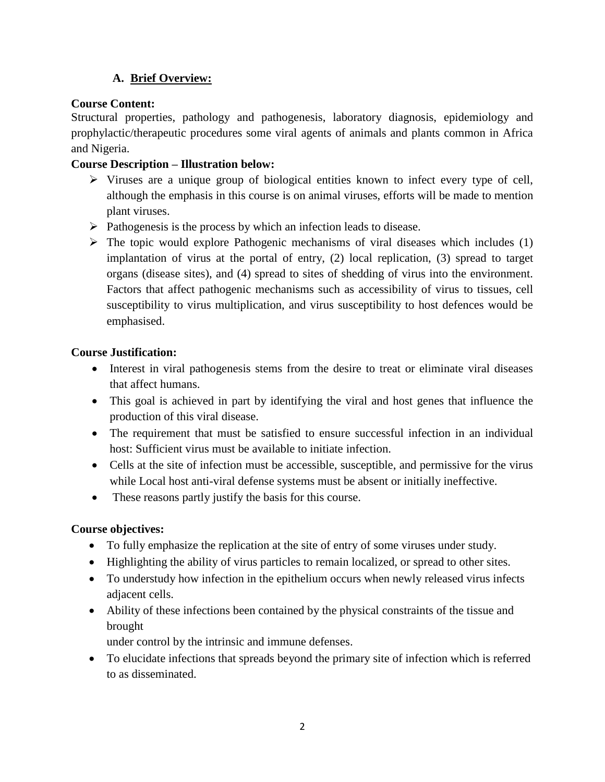## **A. Brief Overview:**

## **Course Content:**

Structural properties, pathology and pathogenesis, laboratory diagnosis, epidemiology and prophylactic/therapeutic procedures some viral agents of animals and plants common in Africa and Nigeria.

## **Course Description – Illustration below:**

- $\triangleright$  Viruses are a unique group of biological entities known to infect every type of cell, although the emphasis in this course is on animal viruses, efforts will be made to mention plant viruses.
- $\triangleright$  Pathogenesis is the process by which an infection leads to disease.
- $\triangleright$  The topic would explore Pathogenic mechanisms of viral diseases which includes (1) implantation of virus at the portal of entry, (2) local replication, (3) spread to target organs (disease sites), and (4) spread to sites of shedding of virus into the environment. Factors that affect pathogenic mechanisms such as accessibility of virus to tissues, cell susceptibility to virus multiplication, and virus susceptibility to host defences would be emphasised.

## **Course Justification:**

- Interest in viral pathogenesis stems from the desire to treat or eliminate viral diseases that affect humans.
- This goal is achieved in part by identifying the viral and host genes that influence the production of this viral disease.
- The requirement that must be satisfied to ensure successful infection in an individual host: Sufficient virus must be available to initiate infection.
- Cells at the site of infection must be accessible, susceptible, and permissive for the virus while Local host anti-viral defense systems must be absent or initially ineffective.
- These reasons partly justify the basis for this course.

## **Course objectives:**

- To fully emphasize the replication at the site of entry of some viruses under study.
- Highlighting the ability of virus particles to remain localized, or spread to other sites.
- To understudy how infection in the epithelium occurs when newly released virus infects adjacent cells.
- Ability of these infections been contained by the physical constraints of the tissue and brought

under control by the intrinsic and immune defenses.

 To elucidate infections that spreads beyond the primary site of infection which is referred to as disseminated.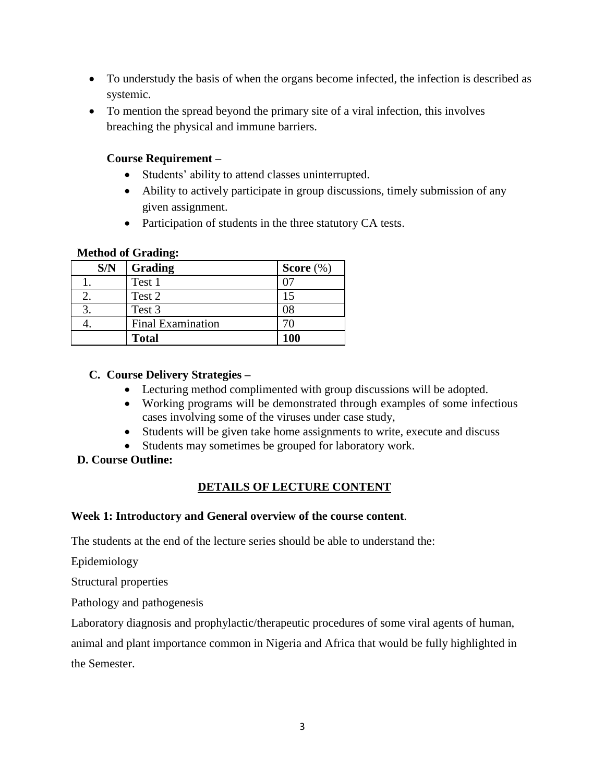- To understudy the basis of when the organs become infected, the infection is described as systemic.
- To mention the spread beyond the primary site of a viral infection, this involves breaching the physical and immune barriers.

## **Course Requirement –**

- Students' ability to attend classes uninterrupted.
- Ability to actively participate in group discussions, timely submission of any given assignment.
- Participation of students in the three statutory CA tests.

### **Method of Grading:**

| S/N | Grading                  | Score $(\%)$ |
|-----|--------------------------|--------------|
|     | Test 1                   |              |
|     | Test 2                   |              |
|     | Test 3                   | 08           |
|     | <b>Final Examination</b> |              |
|     | <b>Total</b>             | 100          |

### **C. Course Delivery Strategies –**

- Lecturing method complimented with group discussions will be adopted.
- Working programs will be demonstrated through examples of some infectious cases involving some of the viruses under case study,
- Students will be given take home assignments to write, execute and discuss
- Students may sometimes be grouped for laboratory work.

## **D. Course Outline:**

## **DETAILS OF LECTURE CONTENT**

### **Week 1: Introductory and General overview of the course content**.

The students at the end of the lecture series should be able to understand the:

Epidemiology

Structural properties

Pathology and pathogenesis

Laboratory diagnosis and prophylactic/therapeutic procedures of some viral agents of human,

animal and plant importance common in Nigeria and Africa that would be fully highlighted in the Semester.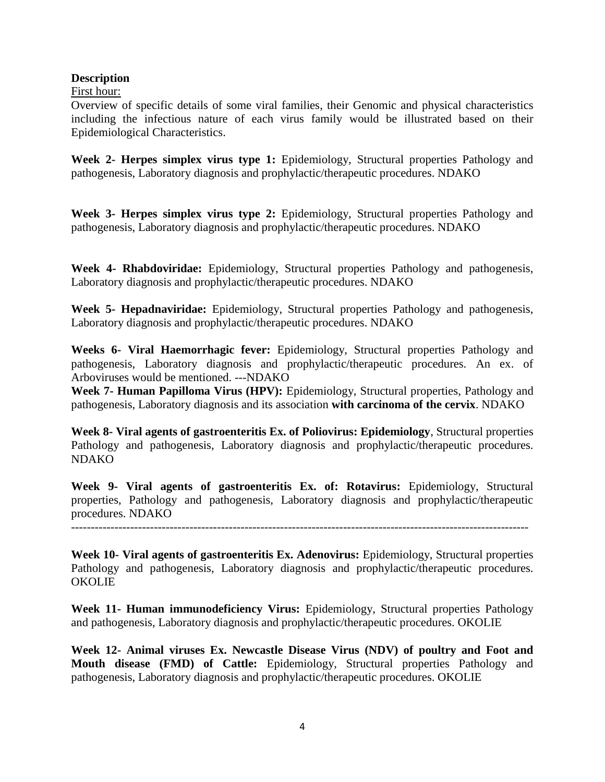#### **Description**

First hour:

Overview of specific details of some viral families, their Genomic and physical characteristics including the infectious nature of each virus family would be illustrated based on their Epidemiological Characteristics.

**Week 2- Herpes simplex virus type 1:** Epidemiology, Structural properties Pathology and pathogenesis, Laboratory diagnosis and prophylactic/therapeutic procedures. NDAKO

**Week 3- Herpes simplex virus type 2:** Epidemiology, Structural properties Pathology and pathogenesis, Laboratory diagnosis and prophylactic/therapeutic procedures. NDAKO

**Week 4- Rhabdoviridae:** Epidemiology, Structural properties Pathology and pathogenesis, Laboratory diagnosis and prophylactic/therapeutic procedures. NDAKO

**Week 5- Hepadnaviridae:** Epidemiology, Structural properties Pathology and pathogenesis, Laboratory diagnosis and prophylactic/therapeutic procedures. NDAKO

**Weeks 6- Viral Haemorrhagic fever:** Epidemiology, Structural properties Pathology and pathogenesis, Laboratory diagnosis and prophylactic/therapeutic procedures. An ex. of Arboviruses would be mentioned. ---NDAKO

**Week 7- Human Papilloma Virus (HPV):** Epidemiology, Structural properties, Pathology and pathogenesis, Laboratory diagnosis and its association **with carcinoma of the cervix**. NDAKO

**Week 8- Viral agents of gastroenteritis Ex. of Poliovirus: Epidemiology**, Structural properties Pathology and pathogenesis, Laboratory diagnosis and prophylactic/therapeutic procedures. NDAKO

**Week 9- Viral agents of gastroenteritis Ex. of: Rotavirus:** Epidemiology, Structural properties, Pathology and pathogenesis, Laboratory diagnosis and prophylactic/therapeutic procedures. NDAKO

--------------------------------------------------------------------------------------------------------------------

**Week 10- Viral agents of gastroenteritis Ex. Adenovirus:** Epidemiology, Structural properties Pathology and pathogenesis, Laboratory diagnosis and prophylactic/therapeutic procedures. **OKOLIE** 

**Week 11- Human immunodeficiency Virus:** Epidemiology, Structural properties Pathology and pathogenesis, Laboratory diagnosis and prophylactic/therapeutic procedures. OKOLIE

**Week 12- Animal viruses Ex. Newcastle Disease Virus (NDV) of poultry and Foot and Mouth disease (FMD) of Cattle:** Epidemiology, Structural properties Pathology and pathogenesis, Laboratory diagnosis and prophylactic/therapeutic procedures. OKOLIE